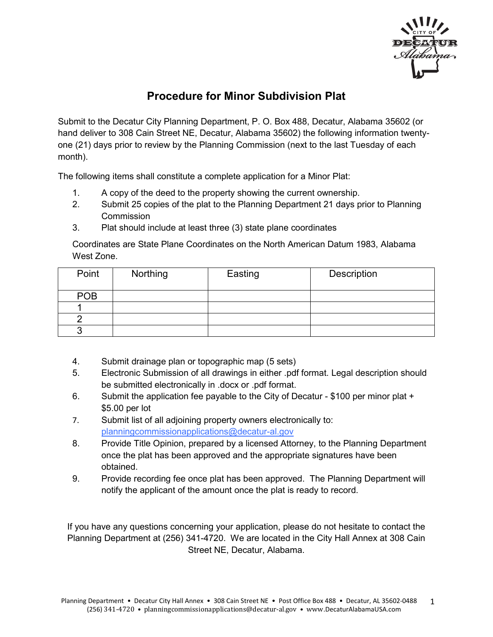

## **Procedure for Minor Subdivision Plat**

Submit to the Decatur City Planning Department, P. O. Box 488, Decatur, Alabama 35602 (or hand deliver to 308 Cain Street NE, Decatur, Alabama 35602) the following information twentyone (21) days prior to review by the Planning Commission (next to the last Tuesday of each month).

The following items shall constitute a complete application for a Minor Plat:

- 1. A copy of the deed to the property showing the current ownership.
- 2. Submit 25 copies of the plat to the Planning Department 21 days prior to Planning **Commission**
- 3. Plat should include at least three (3) state plane coordinates

Coordinates are State Plane Coordinates on the North American Datum 1983, Alabama West Zone.

| Point      | Northing | Easting | Description |
|------------|----------|---------|-------------|
| <b>POB</b> |          |         |             |
|            |          |         |             |
|            |          |         |             |
|            |          |         |             |

- 4. Submit drainage plan or topographic map (5 sets)
- 5. Electronic Submission of all drawings in either .pdf format. Legal description should be submitted electronically in .docx or .pdf format.
- 6. Submit the application fee payable to the City of Decatur \$100 per minor plat + \$5.00 per lot
- 7. Submit list of all adjoining property owners electronically to: [planningcommissionapplications@decatur-al.gov](mailto:planningcommisionapplications@decatur-al.gov)
- 8. Provide Title Opinion, prepared by a licensed Attorney, to the Planning Department once the plat has been approved and the appropriate signatures have been obtained.
- 9. Provide recording fee once plat has been approved. The Planning Department will notify the applicant of the amount once the plat is ready to record.

If you have any questions concerning your application, please do not hesitate to contact the Planning Department at (256) 341-4720. We are located in the City Hall Annex at 308 Cain Street NE, Decatur, Alabama.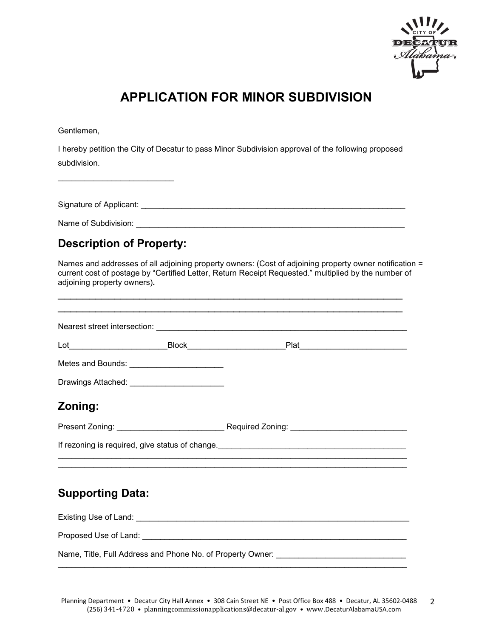

# **APPLICATION FOR MINOR SUBDIVISION**

Gentlemen,

I hereby petition the City of Decatur to pass Minor Subdivision approval of the following proposed subdivision.

Signature of Applicant: \_\_\_\_\_\_\_\_\_\_\_\_\_\_\_\_\_\_\_\_\_\_\_\_\_\_\_\_\_\_\_\_\_\_\_\_\_\_\_\_\_\_\_\_\_\_\_\_\_\_\_\_\_\_\_\_\_\_\_

Name of Subdivision: \_\_\_\_\_\_\_\_\_\_\_\_\_\_\_\_\_\_\_\_\_\_\_\_\_\_\_\_\_\_\_\_\_\_\_\_\_\_\_\_\_\_\_\_\_\_\_\_\_\_\_\_\_\_\_\_\_\_\_\_

 $\overline{\phantom{a}}$  , and the contribution of the contribution of the contribution of the contribution of the contribution of the contribution of the contribution of the contribution of the contribution of the contribution of the

## **Description of Property:**

\_\_\_\_\_\_\_\_\_\_\_\_\_\_\_\_\_\_\_\_\_\_\_\_\_\_

Names and addresses of all adjoining property owners: (Cost of adjoining property owner notification = current cost of postage by "Certified Letter, Return Receipt Requested." multiplied by the number of adjoining property owners)*.*

| Metes and Bounds: ________________________   |                                                 |  |
|----------------------------------------------|-------------------------------------------------|--|
| Drawings Attached: _________________________ |                                                 |  |
| Zoning:                                      |                                                 |  |
|                                              |                                                 |  |
|                                              | If rezoning is required, give status of change. |  |
|                                              |                                                 |  |
| <b>Supporting Data:</b>                      |                                                 |  |
|                                              |                                                 |  |
|                                              |                                                 |  |
|                                              |                                                 |  |